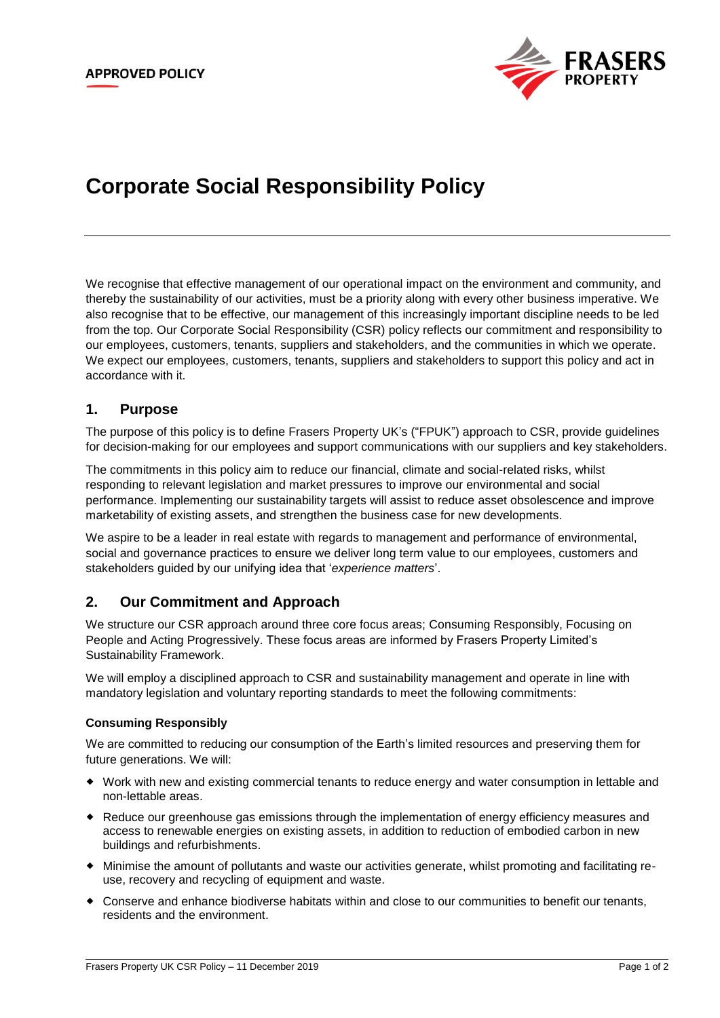

# **Corporate Social Responsibility Policy**

We recognise that effective management of our operational impact on the environment and community, and thereby the sustainability of our activities, must be a priority along with every other business imperative. We also recognise that to be effective, our management of this increasingly important discipline needs to be led from the top. Our Corporate Social Responsibility (CSR) policy reflects our commitment and responsibility to our employees, customers, tenants, suppliers and stakeholders, and the communities in which we operate. We expect our employees, customers, tenants, suppliers and stakeholders to support this policy and act in accordance with it.

## **1. Purpose**

The purpose of this policy is to define Frasers Property UK's ("FPUK") approach to CSR, provide guidelines for decision-making for our employees and support communications with our suppliers and key stakeholders.

The commitments in this policy aim to reduce our financial, climate and social-related risks, whilst responding to relevant legislation and market pressures to improve our environmental and social performance. Implementing our sustainability targets will assist to reduce asset obsolescence and improve marketability of existing assets, and strengthen the business case for new developments.

We aspire to be a leader in real estate with regards to management and performance of environmental, social and governance practices to ensure we deliver long term value to our employees, customers and stakeholders guided by our unifying idea that '*experience matters*'.

# **2. Our Commitment and Approach**

We structure our CSR approach around three core focus areas; Consuming Responsibly, Focusing on People and Acting Progressively. These focus areas are informed by Frasers Property Limited's Sustainability Framework.

We will employ a disciplined approach to CSR and sustainability management and operate in line with mandatory legislation and voluntary reporting standards to meet the following commitments:

#### **Consuming Responsibly**

We are committed to reducing our consumption of the Earth's limited resources and preserving them for future generations. We will:

- Work with new and existing commercial tenants to reduce energy and water consumption in lettable and non-lettable areas.
- Reduce our greenhouse gas emissions through the implementation of energy efficiency measures and access to renewable energies on existing assets, in addition to reduction of embodied carbon in new buildings and refurbishments.
- Minimise the amount of pollutants and waste our activities generate, whilst promoting and facilitating reuse, recovery and recycling of equipment and waste.
- Conserve and enhance biodiverse habitats within and close to our communities to benefit our tenants, residents and the environment.